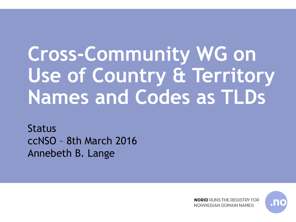# **Cross-Community WG on Use of Country & Territory Names and Codes as TLDs**

Status ccNSO – 8th March 2016 Annebeth B. Lange

> **NORID** RUNS THE REGISTRY FOR NORWEGIAN DOMAIN NAMES

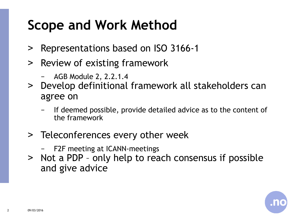# **Scope and Work Method**

- ˃ Representations based on ISO 3166-1
- ˃ Review of existing framework
	- − AGB Module 2, 2.2.1.4
- ˃ Develop definitional framework all stakeholders can agree on
	- If deemed possible, provide detailed advice as to the content of the framework
- > Teleconferences every other week
	- − F2F meeting at ICANN-meetings
- ˃ Not a PDP only help to reach consensus if possible and give advice

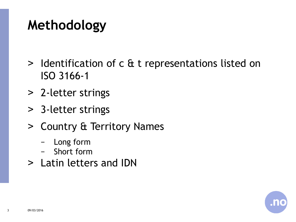# **Methodology**

- ˃ Identification of c & t representations listed on ISO 3166-1
- ˃ 2-letter strings
- ˃ 3-letter strings
- ˃ Country & Territory Names
	- − Long form
	- − Short form
- ˃ Latin letters and IDN

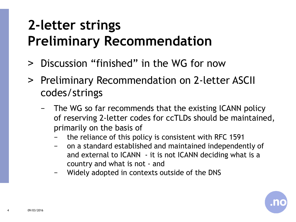# **2-letter strings Preliminary Recommendation**

- ˃ Discussion "finished" in the WG for now
- ˃ Preliminary Recommendation on 2-letter ASCII codes/strings
	- − The WG so far recommends that the existing ICANN policy of reserving 2-letter codes for ccTLDs should be maintained, primarily on the basis of
		- the reliance of this policy is consistent with RFC 1591
		- − on a standard established and maintained independently of and external to ICANN - it is not ICANN deciding what is a country and what is not - and
		- Widely adopted in contexts outside of the DNS

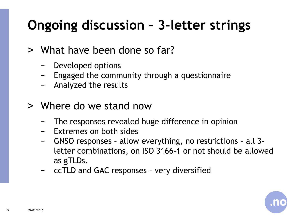# **Ongoing discussion – 3-letter strings**

- ˃ What have been done so far?
	- − Developed options
	- Engaged the community through a questionnaire
	- − Analyzed the results
- ˃ Where do we stand now
	- The responses revealed huge difference in opinion
	- Extremes on both sides
	- − GNSO responses allow everything, no restrictions all 3 letter combinations, on ISO 3166-1 or not should be allowed as gTLDs.
	- − ccTLD and GAC responses very diversified

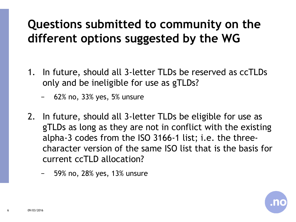#### **Questions submitted to community on the different options suggested by the WG**

- 1. In future, should all 3-letter TLDs be reserved as ccTLDs only and be ineligible for use as gTLDs?
	- − 62% no, 33% yes, 5% unsure
- 2. In future, should all 3-letter TLDs be eligible for use as gTLDs as long as they are not in conflict with the existing alpha-3 codes from the ISO 3166-1 list; i.e. the threecharacter version of the same ISO list that is the basis for current ccTLD allocation?
	- − 59% no, 28% yes, 13% unsure

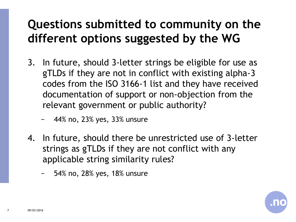#### **Questions submitted to community on the different options suggested by the WG**

- 3. In future, should 3-letter strings be eligible for use as gTLDs if they are not in conflict with existing alpha-3 codes from the ISO 3166-1 list and they have received documentation of support or non-objection from the relevant government or public authority?
	- − 44% no, 23% yes, 33% unsure
- 4. In future, should there be unrestricted use of 3-letter strings as gTLDs if they are not conflict with any applicable string similarity rules?
	- − 54% no, 28% yes, 18% unsure

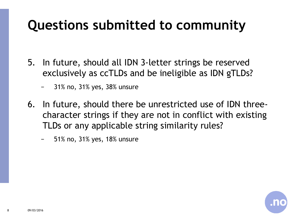# **Questions submitted to community**

- 5. In future, should all IDN 3-letter strings be reserved exclusively as ccTLDs and be ineligible as IDN gTLDs?
	- − 31% no, 31% yes, 38% unsure
- 6. In future, should there be unrestricted use of IDN threecharacter strings if they are not in conflict with existing TLDs or any applicable string similarity rules?
	- − 51% no, 31% yes, 18% unsure

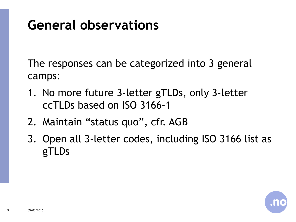# **General observations**

The responses can be categorized into 3 general camps:

- 1. No more future 3-letter gTLDs, only 3-letter ccTLDs based on ISO 3166-1
- 2. Maintain "status quo", cfr. AGB
- 3. Open all 3-letter codes, including ISO 3166 list as gTLDs

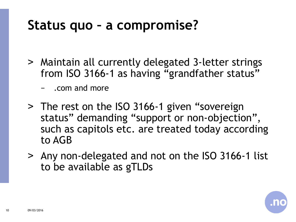#### **Status quo – a compromise?**

- ˃ Maintain all currently delegated 3-letter strings from ISO 3166-1 as having "grandfather status"
	- − .com and more
- > The rest on the ISO 3166-1 given "sovereign status" demanding "support or non-objection", such as capitols etc. are treated today according to AGB
- ˃ Any non-delegated and not on the ISO 3166-1 list to be available as gTLDs

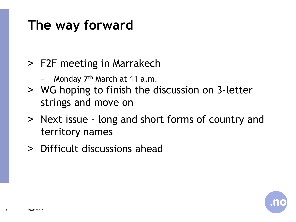## **The way forward**

#### ˃ F2F meeting in Marrakech

- − Monday 7th March at 11 a.m.
- ˃ WG hoping to finish the discussion on 3-letter strings and move on
- ˃ Next issue long and short forms of country and territory names
- ˃ Difficult discussions ahead

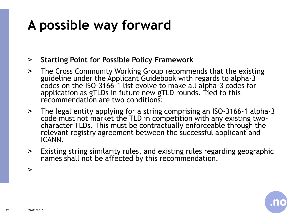# **A possible way forward**

- ˃ **Starting Point for Possible Policy Framework**
- > The Cross Community Working Group recommends that the existing guideline under the Applicant Guidebook with regards to alpha-3 codes on the ISO-3166-1 list evolve to make all alpha-3 codes for application as gTLDs in future new gTLD rounds. Tied to this recommendation are two conditions:
- ˃ The legal entity applying for a string comprising an ISO-3166-1 alpha-3 code must not market the TLD in competition with any existing twocharacter TLDs. This must be contractually enforceable through the relevant registry agreement between the successful applicant and ICANN.
- ˃ Existing string similarity rules, and existing rules regarding geographic names shall not be affected by this recommendation.

 $\geq$ 

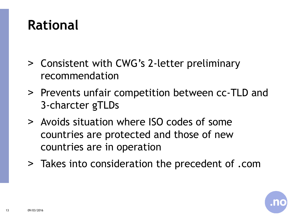### **Rational**

- ˃ Consistent with CWG's 2-letter preliminary recommendation
- ˃ Prevents unfair competition between cc-TLD and 3-charcter gTLDs
- ˃ Avoids situation where ISO codes of some countries are protected and those of new countries are in operation
- ˃ Takes into consideration the precedent of .com

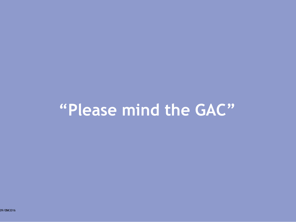# **"Please mind the GAC"**